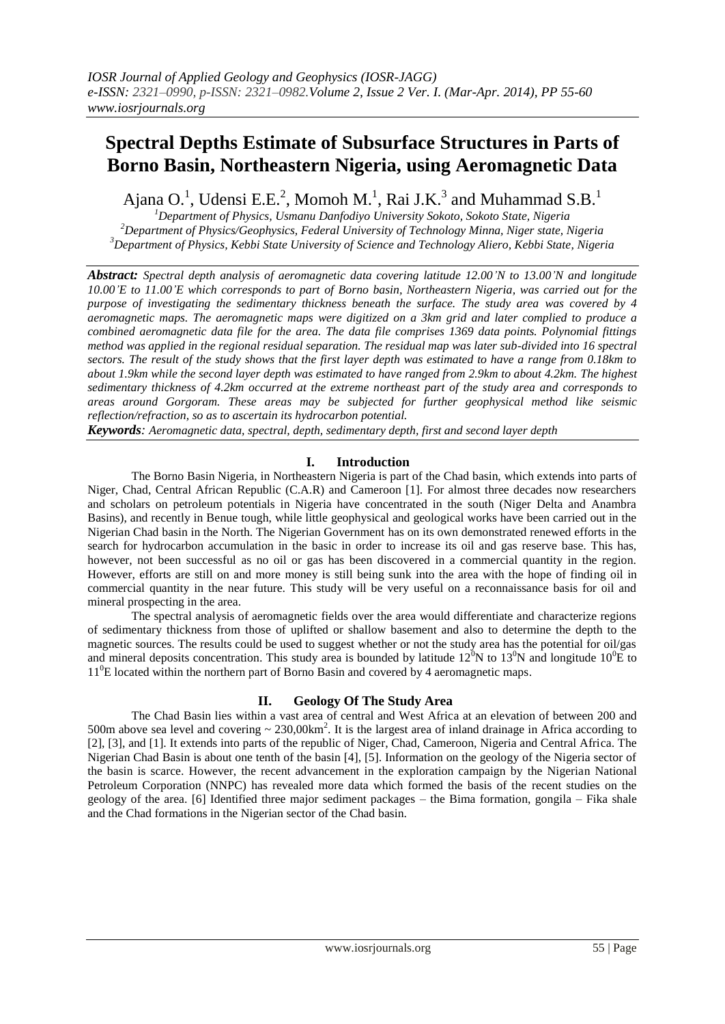# **Spectral Depths Estimate of Subsurface Structures in Parts of Borno Basin, Northeastern Nigeria, using Aeromagnetic Data**

Ajana O.<sup>1</sup>, Udensi E.E.<sup>2</sup>, Momoh M.<sup>1</sup>, Rai J.K.<sup>3</sup> and Muhammad S.B.<sup>1</sup>

*<sup>1</sup>Department of Physics, Usmanu Danfodiyo University Sokoto, Sokoto State, Nigeria <sup>2</sup>Department of Physics/Geophysics, Federal University of Technology Minna, Niger state, Nigeria <sup>3</sup>Department of Physics, Kebbi State University of Science and Technology Aliero, Kebbi State, Nigeria*

*Abstract: Spectral depth analysis of aeromagnetic data covering latitude 12.00'N to 13.00'N and longitude 10.00'E to 11.00'E which corresponds to part of Borno basin, Northeastern Nigeria, was carried out for the purpose of investigating the sedimentary thickness beneath the surface. The study area was covered by 4 aeromagnetic maps. The aeromagnetic maps were digitized on a 3km grid and later complied to produce a combined aeromagnetic data file for the area. The data file comprises 1369 data points. Polynomial fittings method was applied in the regional residual separation. The residual map was later sub-divided into 16 spectral sectors. The result of the study shows that the first layer depth was estimated to have a range from 0.18km to about 1.9km while the second layer depth was estimated to have ranged from 2.9km to about 4.2km. The highest sedimentary thickness of 4.2km occurred at the extreme northeast part of the study area and corresponds to areas around Gorgoram. These areas may be subjected for further geophysical method like seismic reflection/refraction, so as to ascertain its hydrocarbon potential.*

*Keywords: Aeromagnetic data, spectral, depth, sedimentary depth, first and second layer depth*

## **I. Introduction**

The Borno Basin Nigeria, in Northeastern Nigeria is part of the Chad basin, which extends into parts of Niger, Chad, Central African Republic (C.A.R) and Cameroon [1]. For almost three decades now researchers and scholars on petroleum potentials in Nigeria have concentrated in the south (Niger Delta and Anambra Basins), and recently in Benue tough, while little geophysical and geological works have been carried out in the Nigerian Chad basin in the North. The Nigerian Government has on its own demonstrated renewed efforts in the search for hydrocarbon accumulation in the basic in order to increase its oil and gas reserve base. This has, however, not been successful as no oil or gas has been discovered in a commercial quantity in the region. However, efforts are still on and more money is still being sunk into the area with the hope of finding oil in commercial quantity in the near future. This study will be very useful on a reconnaissance basis for oil and mineral prospecting in the area.

The spectral analysis of aeromagnetic fields over the area would differentiate and characterize regions of sedimentary thickness from those of uplifted or shallow basement and also to determine the depth to the magnetic sources. The results could be used to suggest whether or not the study area has the potential for oil/gas and mineral deposits concentration. This study area is bounded by latitude  $12^0N$  to  $13^0N$  and longitude  $10^0E$  to 11<sup>0</sup>E located within the northern part of Borno Basin and covered by 4 aeromagnetic maps.

### **II. Geology Of The Study Area**

The Chad Basin lies within a vast area of central and West Africa at an elevation of between 200 and 500m above sea level and covering  $\sim 230,00 \text{km}^2$ . It is the largest area of inland drainage in Africa according to [2], [3], and [1]. It extends into parts of the republic of Niger, Chad, Cameroon, Nigeria and Central Africa. The Nigerian Chad Basin is about one tenth of the basin [4], [5]. Information on the geology of the Nigeria sector of the basin is scarce. However, the recent advancement in the exploration campaign by the Nigerian National Petroleum Corporation (NNPC) has revealed more data which formed the basis of the recent studies on the geology of the area. [6] Identified three major sediment packages – the Bima formation, gongila – Fika shale and the Chad formations in the Nigerian sector of the Chad basin.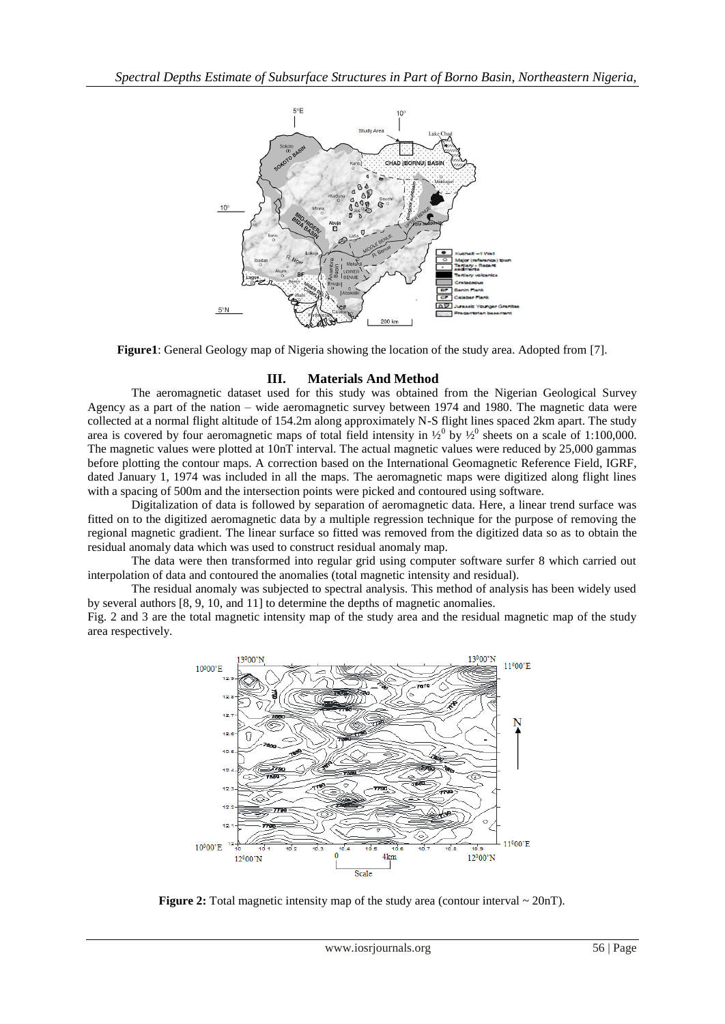

**Figure1**: General Geology map of Nigeria showing the location of the study area. Adopted from [7].

## **III. Materials And Method**

The aeromagnetic dataset used for this study was obtained from the Nigerian Geological Survey Agency as a part of the nation – wide aeromagnetic survey between 1974 and 1980. The magnetic data were collected at a normal flight altitude of 154.2m along approximately N-S flight lines spaced 2km apart. The study area is covered by four aeromagnetic maps of total field intensity in  $\frac{1}{2}$ <sup>0</sup> by  $\frac{1}{2}$ <sup>0</sup> sheets on a scale of 1:100,000. The magnetic values were plotted at 10nT interval. The actual magnetic values were reduced by 25,000 gammas before plotting the contour maps. A correction based on the International Geomagnetic Reference Field, IGRF, dated January 1, 1974 was included in all the maps. The aeromagnetic maps were digitized along flight lines with a spacing of 500m and the intersection points were picked and contoured using software.

Digitalization of data is followed by separation of aeromagnetic data. Here, a linear trend surface was fitted on to the digitized aeromagnetic data by a multiple regression technique for the purpose of removing the regional magnetic gradient. The linear surface so fitted was removed from the digitized data so as to obtain the residual anomaly data which was used to construct residual anomaly map.

The data were then transformed into regular grid using computer software surfer 8 which carried out interpolation of data and contoured the anomalies (total magnetic intensity and residual).

The residual anomaly was subjected to spectral analysis. This method of analysis has been widely used by several authors [8, 9, 10, and 11] to determine the depths of magnetic anomalies.

Fig. 2 and 3 are the total magnetic intensity map of the study area and the residual magnetic map of the study area respectively.



**Figure 2:** Total magnetic intensity map of the study area (contour interval  $\sim 20$ nT).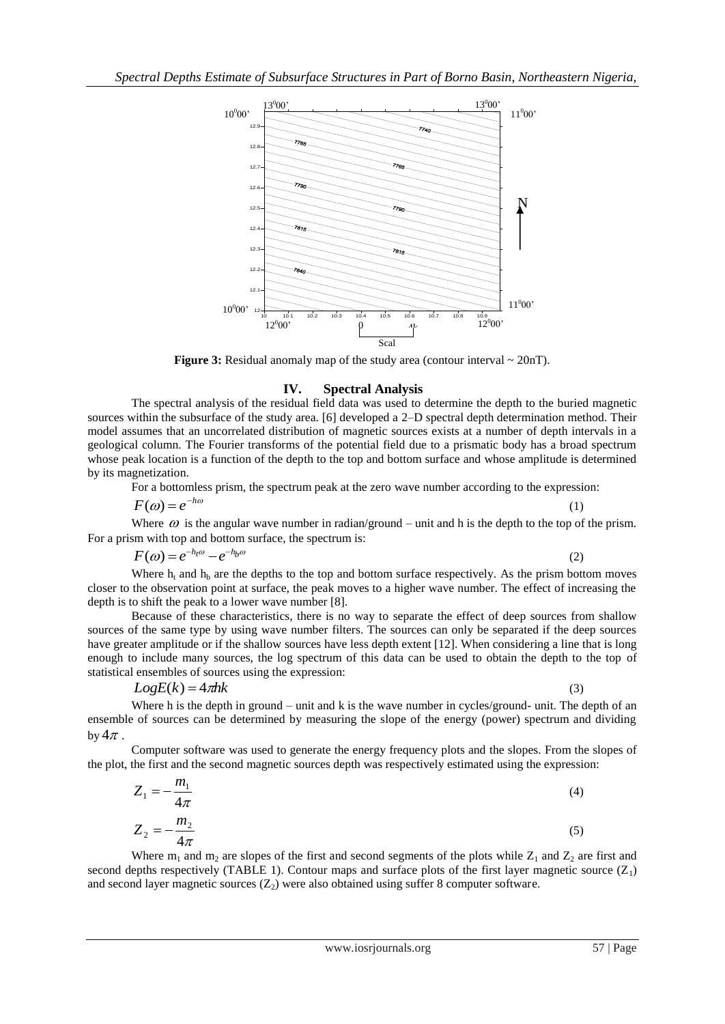

**Figure 3:** Residual anomaly map of the study area (contour interval  $\sim 20nT$ ).

#### **IV. Spectral Analysis**

The spectral analysis of the residual field data was used to determine the depth to the buried magnetic sources within the subsurface of the study area. [6] developed a 2–D spectral depth determination method. Their model assumes that an uncorrelated distribution of magnetic sources exists at a number of depth intervals in a geological column. The Fourier transforms of the potential field due to a prismatic body has a broad spectrum whose peak location is a function of the depth to the top and bottom surface and whose amplitude is determined by its magnetization.

For a bottomless prism, the spectrum peak at the zero wave number according to the expression:

 $F(\omega) = e^{-h\omega}$ 

Where  $\omega$  is the angular wave number in radian/ground – unit and h is the depth to the top of the prism. For a prism with top and bottom surface, the spectrum is:

$$
F(\omega) = e^{-h_t\omega} - e^{-h_b\omega}
$$

(2)

(1)

Where  $h_t$  and  $h_b$  are the depths to the top and bottom surface respectively. As the prism bottom moves closer to the observation point at surface, the peak moves to a higher wave number. The effect of increasing the depth is to shift the peak to a lower wave number [8].

Because of these characteristics, there is no way to separate the effect of deep sources from shallow sources of the same type by using wave number filters. The sources can only be separated if the deep sources have greater amplitude or if the shallow sources have less depth extent [12]. When considering a line that is long enough to include many sources, the log spectrum of this data can be used to obtain the depth to the top of statistical ensembles of sources using the expression:

$$
LogE(k) = 4\pi h k \tag{3}
$$

Where h is the depth in ground – unit and k is the wave number in cycles/ground- unit. The depth of an ensemble of sources can be determined by measuring the slope of the energy (power) spectrum and dividing by  $4\pi$ .

Computer software was used to generate the energy frequency plots and the slopes. From the slopes of the plot, the first and the second magnetic sources depth was respectively estimated using the expression:

$$
Z_1 = -\frac{m_1}{4\pi}
$$
(4)  

$$
Z_2 = -\frac{m_2}{4\pi}
$$
(5)

Where  $m_1$  and  $m_2$  are slopes of the first and second segments of the plots while  $Z_1$  and  $Z_2$  are first and second depths respectively (TABLE 1). Contour maps and surface plots of the first layer magnetic source  $(Z_1)$ and second layer magnetic sources  $(Z_2)$  were also obtained using suffer 8 computer software.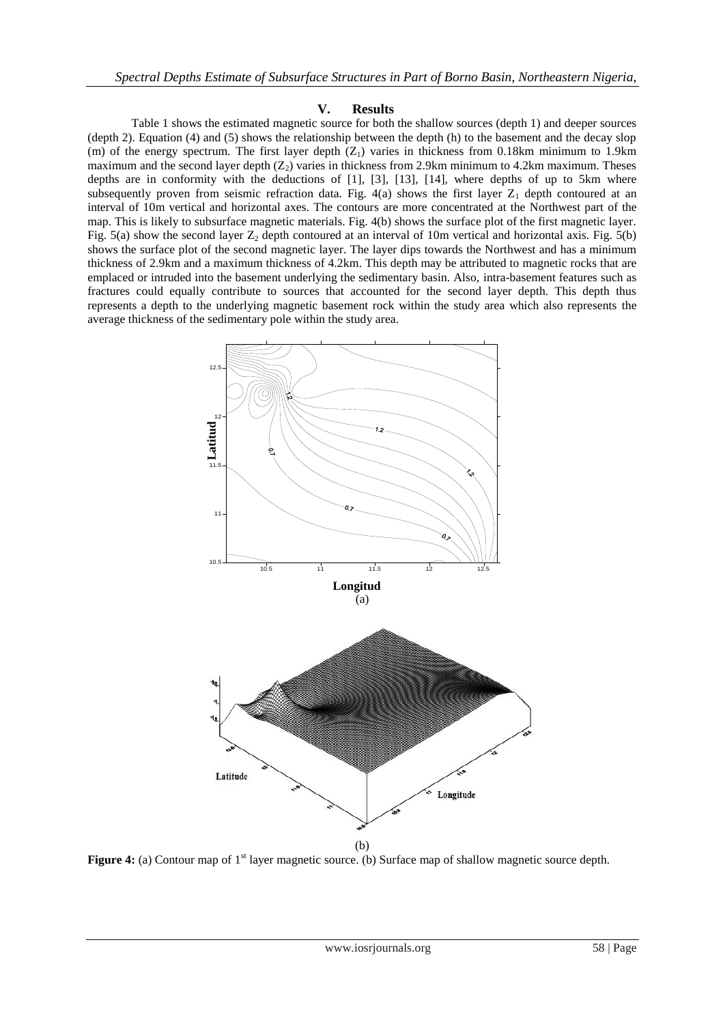### **V. Results**

Table 1 shows the estimated magnetic source for both the shallow sources (depth 1) and deeper sources (depth 2). Equation (4) and (5) shows the relationship between the depth (h) to the basement and the decay slop (m) of the energy spectrum. The first layer depth  $(Z_1)$  varies in thickness from 0.18km minimum to 1.9km maximum and the second layer depth  $(Z_2)$  varies in thickness from 2.9km minimum to 4.2km maximum. Theses depths are in conformity with the deductions of [1], [3], [13], [14], where depths of up to 5km where subsequently proven from seismic refraction data. Fig.  $4(a)$  shows the first layer  $Z_1$  depth contoured at an interval of 10m vertical and horizontal axes. The contours are more concentrated at the Northwest part of the map. This is likely to subsurface magnetic materials. Fig. 4(b) shows the surface plot of the first magnetic layer. Fig. 5(a) show the second layer  $Z_2$  depth contoured at an interval of 10m vertical and horizontal axis. Fig. 5(b) shows the surface plot of the second magnetic layer. The layer dips towards the Northwest and has a minimum thickness of 2.9km and a maximum thickness of 4.2km. This depth may be attributed to magnetic rocks that are emplaced or intruded into the basement underlying the sedimentary basin. Also, intra-basement features such as fractures could equally contribute to sources that accounted for the second layer depth. This depth thus represents a depth to the underlying magnetic basement rock within the study area which also represents the average thickness of the sedimentary pole within the study area.



**Figure 4:** (a) Contour map of 1<sup>st</sup> layer magnetic source. (b) Surface map of shallow magnetic source depth.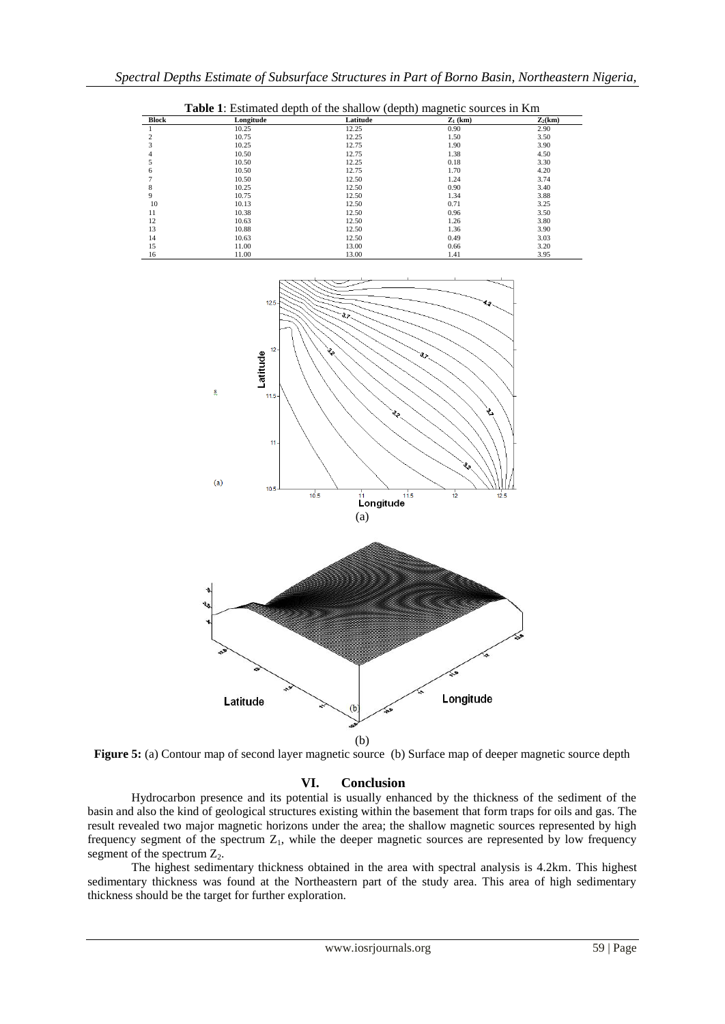|              | <b>Table 1:</b> Estimated depth of the shallow (depth) magnetic sources in Km |          |            |           |
|--------------|-------------------------------------------------------------------------------|----------|------------|-----------|
| <b>Block</b> | Longitude                                                                     | Latitude | $Z_1$ (km) | $Z_2(km)$ |
|              | 10.25                                                                         | 12.25    | 0.90       | 2.90      |
|              | 10.75                                                                         | 12.25    | 1.50       | 3.50      |
|              | 10.25                                                                         | 12.75    | 1.90       | 3.90      |
| 4            | 10.50                                                                         | 12.75    | 1.38       | 4.50      |
|              | 10.50                                                                         | 12.25    | 0.18       | 3.30      |
| 6            | 10.50                                                                         | 12.75    | 1.70       | 4.20      |
|              | 10.50                                                                         | 12.50    | 1.24       | 3.74      |
| 8            | 10.25                                                                         | 12.50    | 0.90       | 3.40      |
| 9            | 10.75                                                                         | 12.50    | 1.34       | 3.88      |
| 10           | 10.13                                                                         | 12.50    | 0.71       | 3.25      |
| 11           | 10.38                                                                         | 12.50    | 0.96       | 3.50      |
| 12           | 10.63                                                                         | 12.50    | 1.26       | 3.80      |
| 13           | 10.88                                                                         | 12.50    | 1.36       | 3.90      |
| 14           | 10.63                                                                         | 12.50    | 0.49       | 3.03      |
| 15           | 11.00                                                                         | 13.00    | 0.66       | 3.20      |

16 11.00 13.00 1.41 3.95



**Figure 5:** (a) Contour map of second layer magnetic source (b) Surface map of deeper magnetic source depth

### **VI. Conclusion**

Hydrocarbon presence and its potential is usually enhanced by the thickness of the sediment of the basin and also the kind of geological structures existing within the basement that form traps for oils and gas. The result revealed two major magnetic horizons under the area; the shallow magnetic sources represented by high frequency segment of the spectrum  $Z_1$ , while the deeper magnetic sources are represented by low frequency segment of the spectrum  $Z_2$ .

The highest sedimentary thickness obtained in the area with spectral analysis is 4.2km. This highest sedimentary thickness was found at the Northeastern part of the study area. This area of high sedimentary thickness should be the target for further exploration.